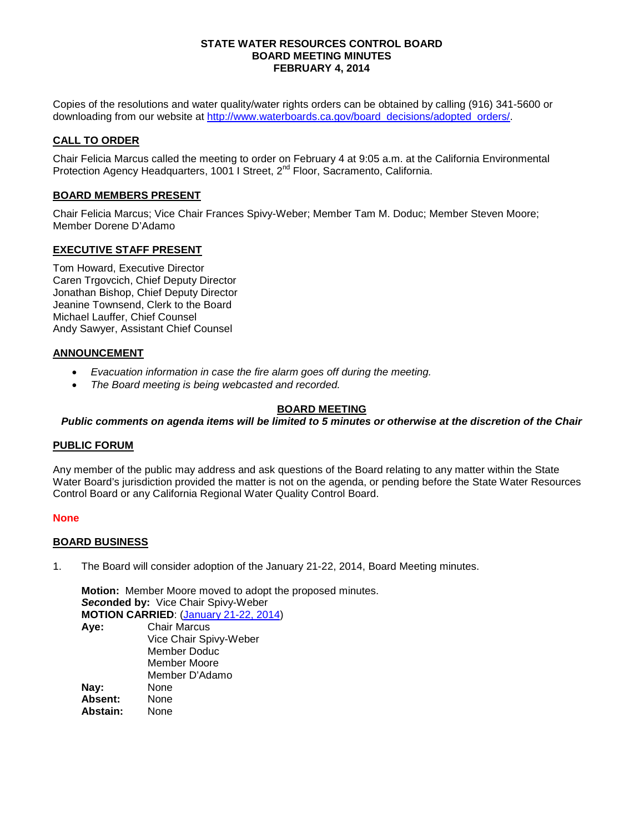### **STATE WATER RESOURCES CONTROL BOARD BOARD MEETING MINUTES FEBRUARY 4, 2014**

Copies of the resolutions and water quality/water rights orders can be obtained by calling (916) 341-5600 or downloading from our website at [http://www.waterboards.ca.gov/board\\_decisions/adopted\\_orders/.](http://www.waterboards.ca.gov/board_decisions/adopted_orders/)

# **CALL TO ORDER**

Chair Felicia Marcus called the meeting to order on February 4 at 9:05 a.m. at the California Environmental Protection Agency Headquarters, 1001 I Street, 2<sup>nd</sup> Floor, Sacramento, California.

## **BOARD MEMBERS PRESENT**

Chair Felicia Marcus; Vice Chair Frances Spivy-Weber; Member Tam M. Doduc; Member Steven Moore; Member Dorene D'Adamo

## **EXECUTIVE STAFF PRESENT**

Tom Howard, Executive Director Caren Trgovcich, Chief Deputy Director Jonathan Bishop, Chief Deputy Director Jeanine Townsend, Clerk to the Board Michael Lauffer, Chief Counsel Andy Sawyer, Assistant Chief Counsel

## **ANNOUNCEMENT**

- *Evacuation information in case the fire alarm goes off during the meeting.*
- *The Board meeting is being webcasted and recorded.*

## **BOARD MEETING**

*Public comments on agenda items will be limited to 5 minutes or otherwise at the discretion of the Chair*

## **PUBLIC FORUM**

Any member of the public may address and ask questions of the Board relating to any matter within the State Water Board's jurisdiction provided the matter is not on the agenda, or pending before the State Water Resources Control Board or any California Regional Water Quality Control Board.

## **None**

## **BOARD BUSINESS**

1. The Board will consider adoption of the January 21-22, 2014, Board Meeting minutes.

**Motion:** Member Moore moved to adopt the proposed minutes. *Seco***nded by:** Vice Chair Spivy-Weber **MOTION CARRIED**: [\(January 21-22, 2014\)](http://www.waterboards.ca.gov/board_info/minutes/2014/jan/mins01212214.pdf) **Aye:** Chair Marcus Vice Chair Spivy-Weber Member Doduc Member Moore Member D'Adamo **Nay:** None<br> **Absent:** None Absent: **Abstain:** None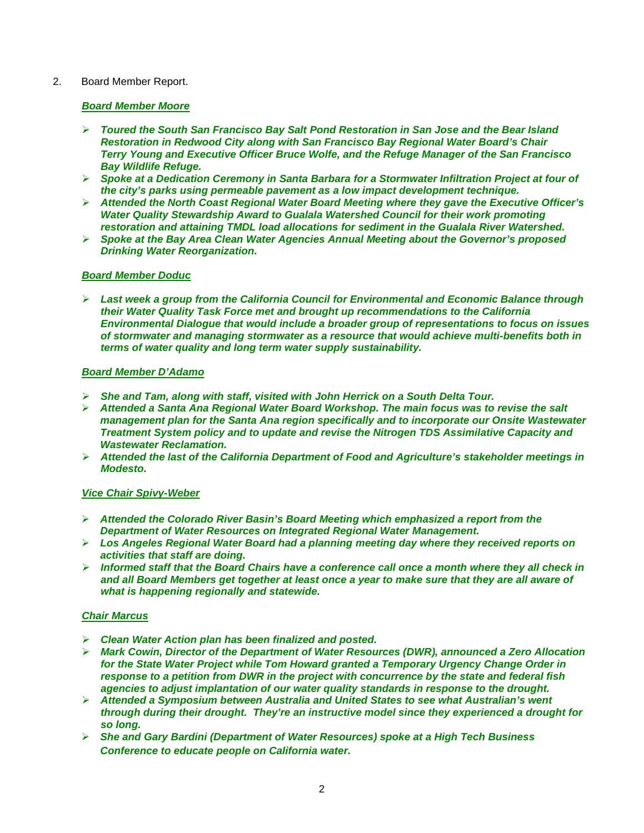## 2. Board Member Report.

## *Board Member Moore*

- *Toured the South San Francisco Bay Salt Pond Restoration in San Jose and the Bear Island Restoration in Redwood City along with San Francisco Bay Regional Water Board's Chair Terry Young and Executive Officer Bruce Wolfe, and the Refuge Manager of the San Francisco Bay Wildlife Refuge.*
- *Spoke at a Dedication Ceremony in Santa Barbara for a Stormwater Infiltration Project at four of the city's parks using permeable pavement as a low impact development technique.*
- *Attended the North Coast Regional Water Board Meeting where they gave the Executive Officer's Water Quality Stewardship Award to Gualala Watershed Council for their work promoting restoration and attaining TMDL load allocations for sediment in the Gualala River Watershed.*
- *Spoke at the Bay Area Clean Water Agencies Annual Meeting about the Governor's proposed Drinking Water Reorganization.*

## *Board Member Doduc*

 *Last week a group from the California Council for Environmental and Economic Balance through their Water Quality Task Force met and brought up recommendations to the California Environmental Dialogue that would include a broader group of representations to focus on issues of stormwater and managing stormwater as a resource that would achieve multi-benefits both in terms of water quality and long term water supply sustainability.* 

## *Board Member D'Adamo*

- *She and Tam, along with staff, visited with John Herrick on a South Delta Tour.*
- *Attended a Santa Ana Regional Water Board Workshop. The main focus was to revise the salt management plan for the Santa Ana region specifically and to incorporate our Onsite Wastewater Treatment System policy and to update and revise the Nitrogen TDS Assimilative Capacity and Wastewater Reclamation.*
- *Attended the last of the California Department of Food and Agriculture's stakeholder meetings in Modesto.*

## *Vice Chair Spivy-Weber*

- *Attended the Colorado River Basin's Board Meeting which emphasized a report from the Department of Water Resources on Integrated Regional Water Management.*
- *Los Angeles Regional Water Board had a planning meeting day where they received reports on activities that staff are doing.*
- *Informed staff that the Board Chairs have a conference call once a month where they all check in and all Board Members get together at least once a year to make sure that they are all aware of what is happening regionally and statewide.*

# *Chair Marcus*

- *Clean Water Action plan has been finalized and posted.*
- *Mark Cowin, Director of the Department of Water Resources (DWR), announced a Zero Allocation for the State Water Project while Tom Howard granted a Temporary Urgency Change Order in response to a petition from DWR in the project with concurrence by the state and federal fish agencies to adjust implantation of our water quality standards in response to the drought.*
- *Attended a Symposium between Australia and United States to see what Australian's went through during their drought. They're an instructive model since they experienced a drought for so long.*
- *She and Gary Bardini (Department of Water Resources) spoke at a High Tech Business Conference to educate people on California water.*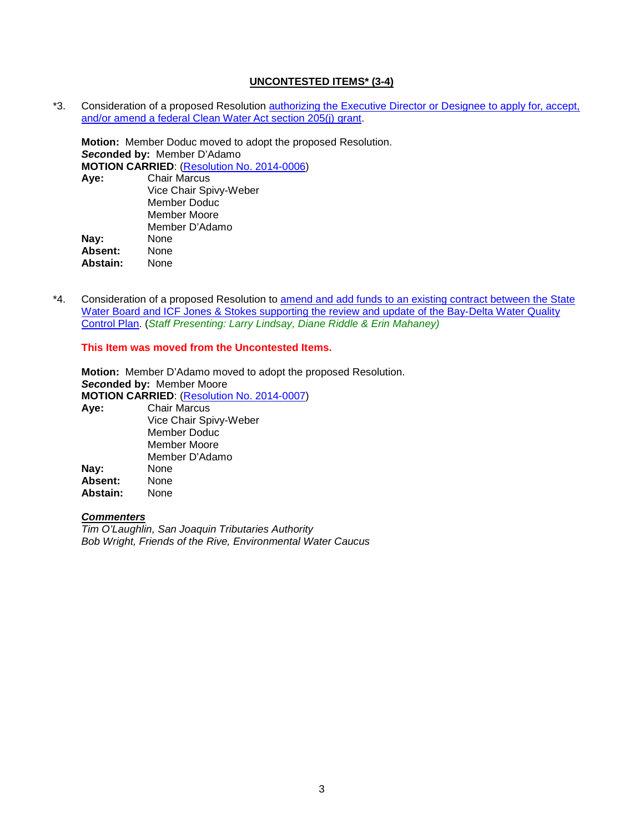## **UNCONTESTED ITEMS\* (3-4)**

\*3. Consideration of a proposed Resolution [authorizing the Executive Director or Designee to apply for, accept,](http://www.waterboards.ca.gov/board_info/agendas/2014/feb/020414_3.pdf)  [and/or amend a federal Clean Water Act section 205\(j\) grant.](http://www.waterboards.ca.gov/board_info/agendas/2014/feb/020414_3.pdf)

**Motion:** Member Doduc moved to adopt the proposed Resolution. *Seco***nded by:** Member D'Adamo **MOTION CARRIED:** (**Resolution No. 2014-0006**)<br>**Aye:** Chair Marcus **Aye:** Chair Marcus Vice Chair Spivy-Weber Member Doduc Member Moore Member D'Adamo **Nay:** None<br> **Absent:** None **Absent:** None Abstain:

\*4. Consideration of a proposed Resolution to amend and add funds to an existing contract between the State Water Board and ICF Jones & Stokes supporting the review and update of the Bay-Delta Water Quality [Control Plan.](http://www.waterboards.ca.gov/board_info/agendas/2014/feb/020414_4.pdf) (*Staff Presenting: Larry Lindsay, Diane Riddle & Erin Mahaney)*

**This Item was moved from the Uncontested Items.**

**Motion:** Member D'Adamo moved to adopt the proposed Resolution. *Seco***nded by:** Member Moore **MOTION CARRIED**: [\(Resolution No. 2014-0007\)](http://www.waterboards.ca.gov/board_decisions/adopted_orders/resolutions/2014/rs2014_0007.pdf) **Aye:** Chair Marcus Vice Chair Spivy-Weber Member Doduc Member Moore Member D'Adamo **Nay:** None<br> **Absent:** None **Absent:** None Abstain:

# *Commenters*

*Tim O'Laughlin, San Joaquin Tributaries Authority Bob Wright, Friends of the Rive, Environmental Water Caucus*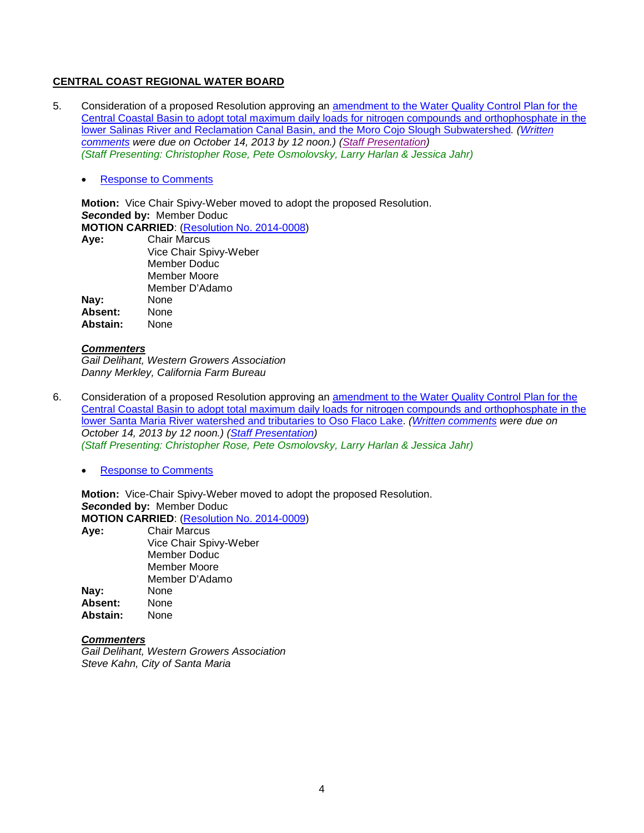## **CENTRAL COAST REGIONAL WATER BOARD**

- 5. Consideration of a proposed Resolution approving an [amendment to the Water Quality Control Plan for the](http://www.waterboards.ca.gov/board_info/agendas/2014/feb/020414_5.pdf)  [Central Coastal Basin to adopt total maximum daily loads for nitrogen compounds and orthophosphate in the](http://www.waterboards.ca.gov/board_info/agendas/2014/feb/020414_5.pdf)  [lower Salinas River and Reclamation Canal Basin, and the Moro Cojo Slough Subwatershed](http://www.waterboards.ca.gov/board_info/agendas/2014/feb/020414_5.pdf)*. [\(Written](http://www.waterboards.ca.gov/waterrights/water_issues/programs/hearings/salinas_nutrients/comments101413.shtml)  [comments](http://www.waterboards.ca.gov/waterrights/water_issues/programs/hearings/salinas_nutrients/comments101413.shtml) were due on October 14, 2013 by 12 noon.) [\(Staff Presentation\)](http://www.waterboards.ca.gov/board_info/minutes/2014/feb/020414_5_staffpres.pdf) (Staff Presenting: Christopher Rose, Pete Osmolovsky, Larry Harlan & Jessica Jahr)*
	- [Response to Comments](http://www.waterboards.ca.gov/board_info/agendas/2014/feb/rtc_salinas_nutrients.pdf)

**Motion:** Vice Chair Spivy-Weber moved to adopt the proposed Resolution. *Seco***nded by:** Member Doduc **MOTION CARRIED**: [\(Resolution No. 2014-0008\)](http://www.waterboards.ca.gov/board_decisions/adopted_orders/resolutions/2014/rs2014_0008.pdf) **Aye:** Chair Marcus

|                | Vice Chair Spivy-Weber |
|----------------|------------------------|
|                | <b>Member Doduc</b>    |
|                | Member Moore           |
|                | Member D'Adamo         |
| Nay:           | None                   |
| <b>Absent:</b> | None                   |
| Abstain:       | None                   |
|                |                        |

#### *Commenters*

*Gail Delihant, Western Growers Association Danny Merkley, California Farm Bureau*

- 6. Consideration of a proposed Resolution approving an [amendment to the Water Quality Control Plan for the](http://www.waterboards.ca.gov/board_info/agendas/2014/feb/020414_6.pdf)  [Central Coastal Basin to adopt total maximum daily loads for nitrogen compounds and orthophosphate in the](http://www.waterboards.ca.gov/board_info/agendas/2014/feb/020414_6.pdf)  [lower Santa Maria River watershed and tributaries to Oso Flaco Lake.](http://www.waterboards.ca.gov/board_info/agendas/2014/feb/020414_6.pdf) *[\(Written comments](http://www.waterboards.ca.gov/waterrights/water_issues/programs/hearings/santamaria_nutrients/comments101413%20-%20Copy.shtml) were due on October 14, 2013 by 12 noon.) [\(Staff Presentation\)](http://www.waterboards.ca.gov/board_info/minutes/2014/feb/020414_6_staffpres.pdf) (Staff Presenting: Christopher Rose, Pete Osmolovsky, Larry Harlan & Jessica Jahr)*
	- [Response to Comments](http://www.waterboards.ca.gov/board_info/agendas/2014/feb/rtc_r3_santamaria.pdf)

**Motion:** Vice-Chair Spivy-Weber moved to adopt the proposed Resolution. *Seco***nded by:** Member Doduc **MOTION CARRIED**: [\(Resolution No. 2014-0009\)](http://www.waterboards.ca.gov/board_decisions/adopted_orders/resolutions/2014/rs2014_0009.pdf) **Aye:** Chair Marcus Vice Chair Spivy-Weber Member Doduc Member Moore Member D'Adamo **Nay:** None<br> **Absent:** None **Absent:** None

# *Commenters*

Abstain:

*Gail Delihant, Western Growers Association Steve Kahn, City of Santa Maria*